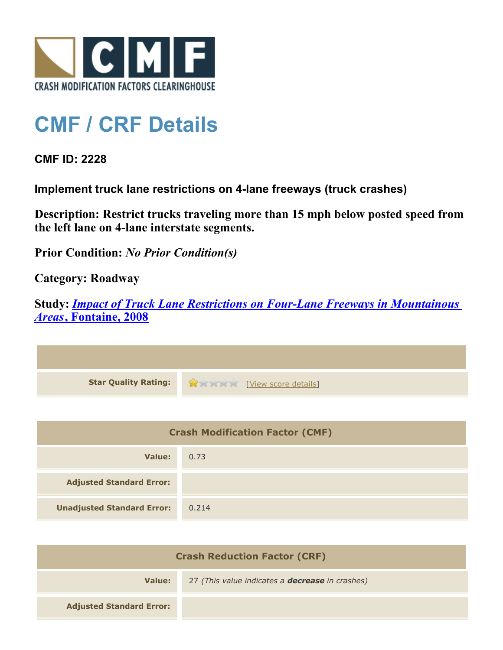

## **CMF / CRF Details**

**CMF ID: 2228**

**Implement truck lane restrictions on 4-lane freeways (truck crashes)**

**Description: Restrict trucks traveling more than 15 mph below posted speed from the left lane on 4-lane interstate segments.**

**Prior Condition:** *No Prior Condition(s)*

**Category: Roadway**

**Study:** *[Impact of Truck Lane Restrictions on Four-Lane Freeways in Mountainous](http://cmfclearinghouse.com/study_detail.cfm?stid=135) [Areas](http://cmfclearinghouse.com/study_detail.cfm?stid=135)***[, Fontaine, 2008](http://cmfclearinghouse.com/study_detail.cfm?stid=135)**



| <b>Crash Modification Factor (CMF)</b> |       |
|----------------------------------------|-------|
| Value:                                 | 0.73  |
| <b>Adjusted Standard Error:</b>        |       |
| <b>Unadjusted Standard Error:</b>      | 0.214 |

| <b>Crash Reduction Factor (CRF)</b> |                                                        |
|-------------------------------------|--------------------------------------------------------|
| Value:                              | 27 (This value indicates a <b>decrease</b> in crashes) |
| <b>Adjusted Standard Error:</b>     |                                                        |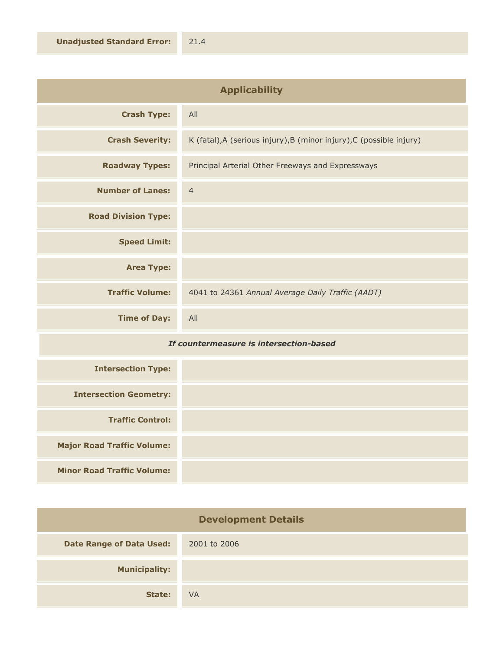| <b>Applicability</b>       |                                                                      |
|----------------------------|----------------------------------------------------------------------|
| <b>Crash Type:</b>         | All                                                                  |
| <b>Crash Severity:</b>     | K (fatal), A (serious injury), B (minor injury), C (possible injury) |
| <b>Roadway Types:</b>      | Principal Arterial Other Freeways and Expressways                    |
| <b>Number of Lanes:</b>    | $\overline{4}$                                                       |
| <b>Road Division Type:</b> |                                                                      |
| <b>Speed Limit:</b>        |                                                                      |
| <b>Area Type:</b>          |                                                                      |
| <b>Traffic Volume:</b>     | 4041 to 24361 Annual Average Daily Traffic (AADT)                    |
| <b>Time of Day:</b>        | All                                                                  |

## *If countermeasure is intersection-based*

| <b>Intersection Type:</b>         |  |
|-----------------------------------|--|
| <b>Intersection Geometry:</b>     |  |
| <b>Traffic Control:</b>           |  |
| <b>Major Road Traffic Volume:</b> |  |
| <b>Minor Road Traffic Volume:</b> |  |

| <b>Development Details</b>      |              |
|---------------------------------|--------------|
| <b>Date Range of Data Used:</b> | 2001 to 2006 |
| <b>Municipality:</b>            |              |
| State:                          | <b>VA</b>    |